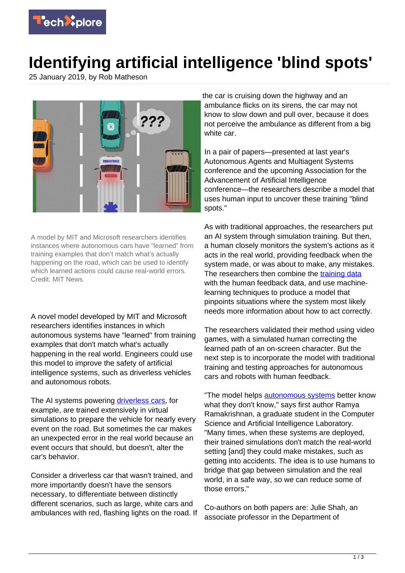

## **Identifying artificial intelligence 'blind spots'**

25 January 2019, by Rob Matheson



A model by MIT and Microsoft researchers identifies instances where autonomous cars have "learned" from training examples that don't match what's actually happening on the road, which can be used to identify which learned actions could cause real-world errors. Credit: MIT News

A novel model developed by MIT and Microsoft researchers identifies instances in which autonomous systems have "learned" from training examples that don't match what's actually happening in the real world. Engineers could use this model to improve the safety of artificial intelligence systems, such as driverless vehicles and autonomous robots.

The AI systems powering [driverless cars,](https://techxplore.com/tags/driverless+cars/) for example, are trained extensively in virtual simulations to prepare the vehicle for nearly every event on the road. But sometimes the car makes an unexpected error in the real world because an event occurs that should, but doesn't, alter the car's behavior.

Consider a driverless car that wasn't trained, and more importantly doesn't have the sensors necessary, to differentiate between distinctly different scenarios, such as large, white cars and ambulances with red, flashing lights on the road. If the car is cruising down the highway and an ambulance flicks on its sirens, the car may not know to slow down and pull over, because it does not perceive the ambulance as different from a big white car.

In a pair of papers—presented at last year's Autonomous Agents and Multiagent Systems conference and the upcoming Association for the Advancement of Artificial Intelligence conference—the researchers describe a model that uses human input to uncover these training "blind spots."

As with traditional approaches, the researchers put an AI system through simulation training. But then, a human closely monitors the system's actions as it acts in the real world, providing feedback when the system made, or was about to make, any mistakes. The researchers then combine the [training data](https://techxplore.com/tags/training+data/) with the human feedback data, and use machinelearning techniques to produce a model that pinpoints situations where the system most likely needs more information about how to act correctly.

The researchers validated their method using video games, with a simulated human correcting the learned path of an on-screen character. But the next step is to incorporate the model with traditional training and testing approaches for autonomous cars and robots with human feedback.

"The model helps [autonomous systems](https://techxplore.com/tags/autonomous+systems/) better know what they don't know," says first author Ramya Ramakrishnan, a graduate student in the Computer Science and Artificial Intelligence Laboratory. "Many times, when these systems are deployed, their trained simulations don't match the real-world setting [and] they could make mistakes, such as getting into accidents. The idea is to use humans to bridge that gap between simulation and the real world, in a safe way, so we can reduce some of those errors."

Co-authors on both papers are: Julie Shah, an associate professor in the Department of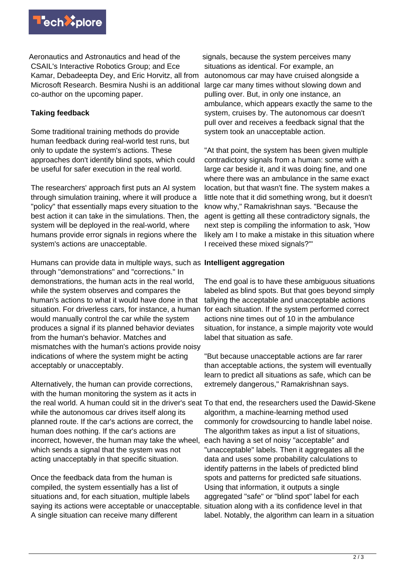

Aeronautics and Astronautics and head of the CSAIL's Interactive Robotics Group; and Ece Kamar, Debadeepta Dey, and Eric Horvitz, all from Microsoft Research. Besmira Nushi is an additional co-author on the upcoming paper.

## **Taking feedback**

Some traditional training methods do provide human feedback during real-world test runs, but only to update the system's actions. These approaches don't identify blind spots, which could be useful for safer execution in the real world.

The researchers' approach first puts an AI system through simulation training, where it will produce a "policy" that essentially maps every situation to the best action it can take in the simulations. Then, the system will be deployed in the real-world, where humans provide error signals in regions where the system's actions are unacceptable.

Humans can provide data in multiple ways, such as **Intelligent aggregation** through "demonstrations" and "corrections." In demonstrations, the human acts in the real world, while the system observes and compares the human's actions to what it would have done in that situation. For driverless cars, for instance, a human would manually control the car while the system produces a signal if its planned behavior deviates from the human's behavior. Matches and mismatches with the human's actions provide noisy indications of where the system might be acting acceptably or unacceptably.

Alternatively, the human can provide corrections, with the human monitoring the system as it acts in while the autonomous car drives itself along its planned route. If the car's actions are correct, the human does nothing. If the car's actions are incorrect, however, the human may take the wheel, which sends a signal that the system was not acting unacceptably in that specific situation.

Once the feedback data from the human is compiled, the system essentially has a list of situations and, for each situation, multiple labels saying its actions were acceptable or unacceptable. A single situation can receive many different

signals, because the system perceives many situations as identical. For example, an autonomous car may have cruised alongside a large car many times without slowing down and pulling over. But, in only one instance, an ambulance, which appears exactly the same to the system, cruises by. The autonomous car doesn't pull over and receives a feedback signal that the system took an unacceptable action.

"At that point, the system has been given multiple contradictory signals from a human: some with a large car beside it, and it was doing fine, and one where there was an ambulance in the same exact location, but that wasn't fine. The system makes a little note that it did something wrong, but it doesn't know why," Ramakrishnan says. "Because the agent is getting all these contradictory signals, the next step is compiling the information to ask, 'How likely am I to make a mistake in this situation where I received these mixed signals?'"

The end goal is to have these ambiguous situations labeled as blind spots. But that goes beyond simply tallying the acceptable and unacceptable actions for each situation. If the system performed correct actions nine times out of 10 in the ambulance situation, for instance, a simple majority vote would label that situation as safe.

"But because unacceptable actions are far rarer than acceptable actions, the system will eventually learn to predict all situations as safe, which can be extremely dangerous," Ramakrishnan says.

the real world. A human could sit in the driver's seat To that end, the researchers used the Dawid-Skene algorithm, a machine-learning method used commonly for crowdsourcing to handle label noise. The algorithm takes as input a list of situations, each having a set of noisy "acceptable" and "unacceptable" labels. Then it aggregates all the data and uses some probability calculations to identify patterns in the labels of predicted blind spots and patterns for predicted safe situations. Using that information, it outputs a single aggregated "safe" or "blind spot" label for each situation along with a its confidence level in that label. Notably, the algorithm can learn in a situation